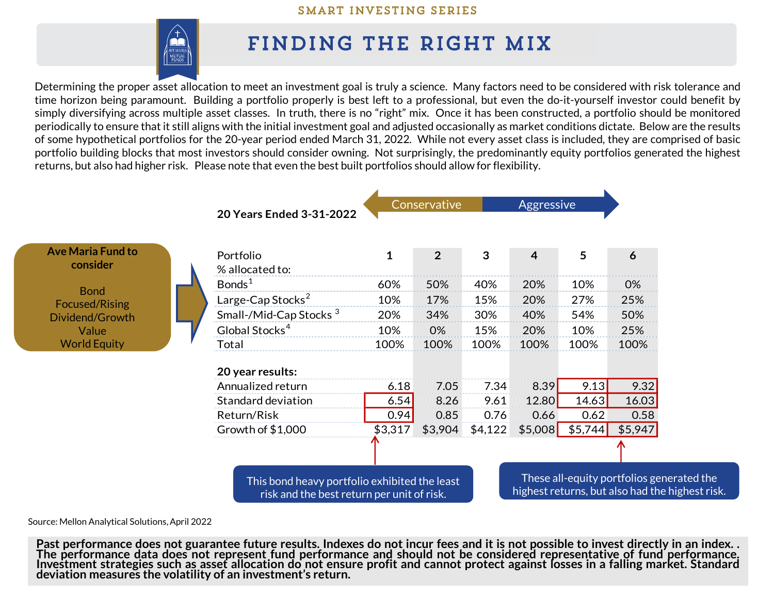

## FINDING THE RIGHT MIX

Determining the proper asset allocation to meet an investment goal is truly a science. Many factors need to be considered with risk tolerance and time horizon being paramount. Building a portfolio properly is best left to a professional, but even the do-it-yourself investor could benefit by simply diversifying across multiple asset classes. In truth, there is no "right" mix. Once it has been constructed, a portfolio should be monitored periodically to ensure that it still aligns with the initial investment goal and adjusted occasionally as market conditions dictate. Below are the results of some hypothetical portfolios for the 20-year period ended March 31, 2022. While not every asset class is included, they are comprised of basic portfolio building blocks that most investors should consider owning. Not surprisingly, the predominantly equity portfolios generated the highest returns, but also had higher risk. Please note that even the best built portfolios should allow for flexibility.



Source: Mellon Analytical Solutions, April 2022

Past performance does not guarantee future results. Indexes do not incur fees and it is not possible to invest directly in an index. . The performance data does not represent fund performance and should not be considered representative of fund performance. Investment strategies such as asset allocation do not ensure profit and cannot protect against losses in a falling market. Standard **deviation measures the volatility of an investment's return.**